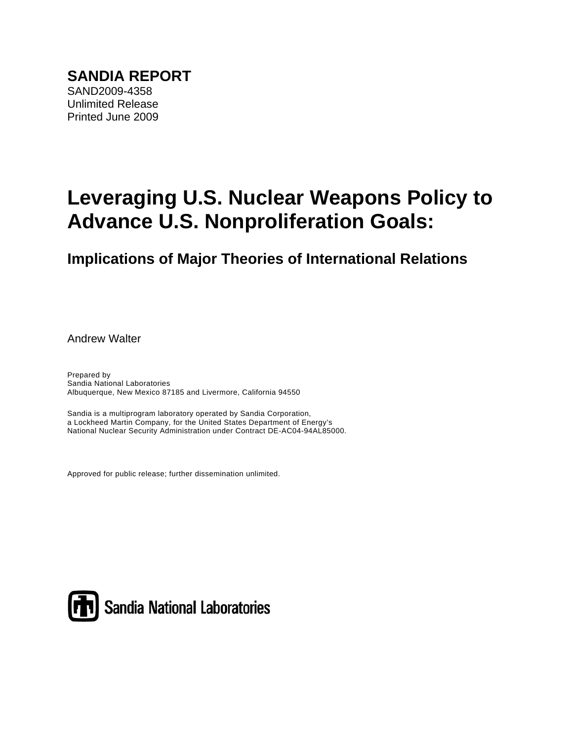# **Leveraging U.S. Nuclear Weapons Policy to Advance U.S. Nonproliferation Goals:**

**Implications of Major Theories of International Relations** 

Andrew Walter

Prepared by Sandia National Laboratories Albuquerque, New Mexico 87185 and Livermore, California 94550

Sandia is a multiprogram laboratory operated by Sandia Corporation, a Lockheed Martin Company, for the United States Department of Energy's National Nuclear Security Administration under Contract DE-AC04-94AL85000.

Approved for public release; further dissemination unlimited.



Sandia National Laboratories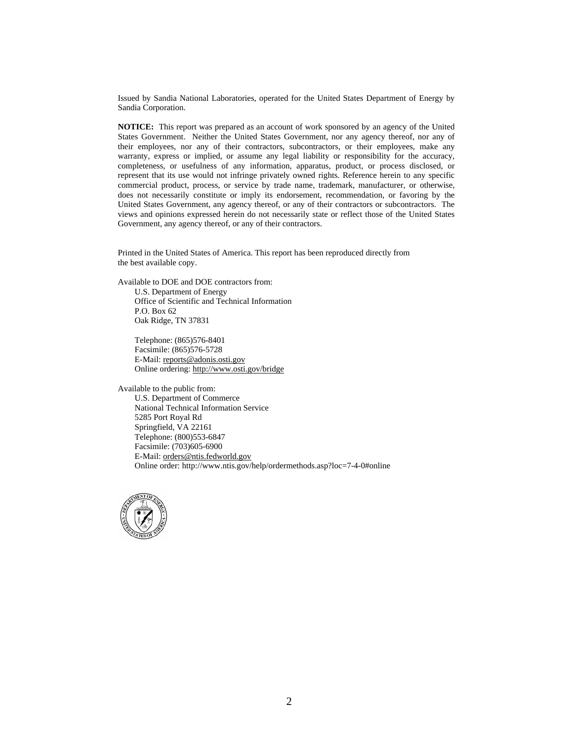Issued by Sandia National Laboratories, operated for the United States Department of Energy by Sandia Corporation.

**NOTICE:** This report was prepared as an account of work sponsored by an agency of the United States Government. Neither the United States Government, nor any agency thereof, nor any of their employees, nor any of their contractors, subcontractors, or their employees, make any warranty, express or implied, or assume any legal liability or responsibility for the accuracy, completeness, or usefulness of any information, apparatus, product, or process disclosed, or represent that its use would not infringe privately owned rights. Reference herein to any specific commercial product, process, or service by trade name, trademark, manufacturer, or otherwise, does not necessarily constitute or imply its endorsement, recommendation, or favoring by the United States Government, any agency thereof, or any of their contractors or subcontractors. The views and opinions expressed herein do not necessarily state or reflect those of the United States Government, any agency thereof, or any of their contractors.

Printed in the United States of America. This report has been reproduced directly from the best available copy.

Available to DOE and DOE contractors from: U.S. Department of Energy

Office of Scientific and Technical Information P.O. Box 62 Oak Ridge, TN 37831

Telephone: (865)576-8401 Facsimile: (865)576-5728 E-Mail: reports@adonis.osti.gov Online ordering: http://www.osti.gov/bridge

Available to the public from: U.S. Department of Commerce National Technical Information Service 5285 Port Royal Rd Springfield, VA 22161 Telephone: (800)553-6847 Facsimile: (703)605-6900 E-Mail: orders@ntis.fedworld.gov Online order: http://www.ntis.gov/help/ordermethods.asp?loc=7-4-0#online

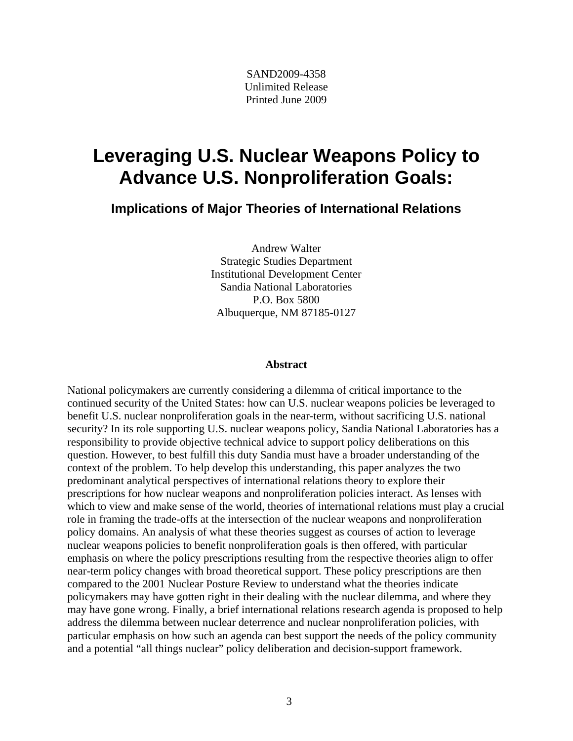SAND2009-4358 Unlimited Release Printed June 2009

## **Leveraging U.S. Nuclear Weapons Policy to Advance U.S. Nonproliferation Goals:**

**Implications of Major Theories of International Relations**

Andrew Walter Strategic Studies Department Institutional Development Center Sandia National Laboratories P.O. Box 5800 Albuquerque, NM 87185-0127

#### **Abstract**

National policymakers are currently considering a dilemma of critical importance to the continued security of the United States: how can U.S. nuclear weapons policies be leveraged to benefit U.S. nuclear nonproliferation goals in the near-term, without sacrificing U.S. national security? In its role supporting U.S. nuclear weapons policy, Sandia National Laboratories has a responsibility to provide objective technical advice to support policy deliberations on this question. However, to best fulfill this duty Sandia must have a broader understanding of the context of the problem. To help develop this understanding, this paper analyzes the two predominant analytical perspectives of international relations theory to explore their prescriptions for how nuclear weapons and nonproliferation policies interact. As lenses with which to view and make sense of the world, theories of international relations must play a crucial role in framing the trade-offs at the intersection of the nuclear weapons and nonproliferation policy domains. An analysis of what these theories suggest as courses of action to leverage nuclear weapons policies to benefit nonproliferation goals is then offered, with particular emphasis on where the policy prescriptions resulting from the respective theories align to offer near-term policy changes with broad theoretical support. These policy prescriptions are then compared to the 2001 Nuclear Posture Review to understand what the theories indicate policymakers may have gotten right in their dealing with the nuclear dilemma, and where they may have gone wrong. Finally, a brief international relations research agenda is proposed to help address the dilemma between nuclear deterrence and nuclear nonproliferation policies, with particular emphasis on how such an agenda can best support the needs of the policy community and a potential "all things nuclear" policy deliberation and decision-support framework.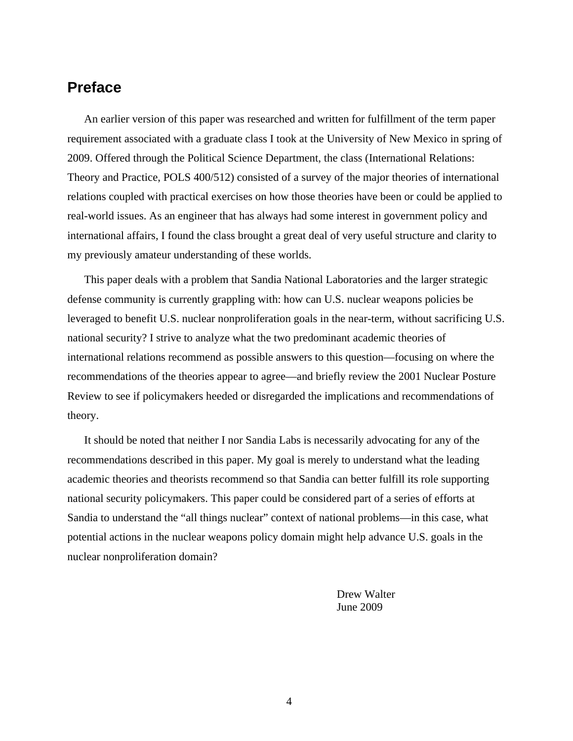## **Preface**

An earlier version of this paper was researched and written for fulfillment of the term paper requirement associated with a graduate class I took at the University of New Mexico in spring of 2009. Offered through the Political Science Department, the class (International Relations: Theory and Practice, POLS 400/512) consisted of a survey of the major theories of international relations coupled with practical exercises on how those theories have been or could be applied to real-world issues. As an engineer that has always had some interest in government policy and international affairs, I found the class brought a great deal of very useful structure and clarity to my previously amateur understanding of these worlds.

This paper deals with a problem that Sandia National Laboratories and the larger strategic defense community is currently grappling with: how can U.S. nuclear weapons policies be leveraged to benefit U.S. nuclear nonproliferation goals in the near-term, without sacrificing U.S. national security? I strive to analyze what the two predominant academic theories of international relations recommend as possible answers to this question—focusing on where the recommendations of the theories appear to agree—and briefly review the 2001 Nuclear Posture Review to see if policymakers heeded or disregarded the implications and recommendations of theory.

It should be noted that neither I nor Sandia Labs is necessarily advocating for any of the recommendations described in this paper. My goal is merely to understand what the leading academic theories and theorists recommend so that Sandia can better fulfill its role supporting national security policymakers. This paper could be considered part of a series of efforts at Sandia to understand the "all things nuclear" context of national problems—in this case, what potential actions in the nuclear weapons policy domain might help advance U.S. goals in the nuclear nonproliferation domain?

> Drew Walter June 2009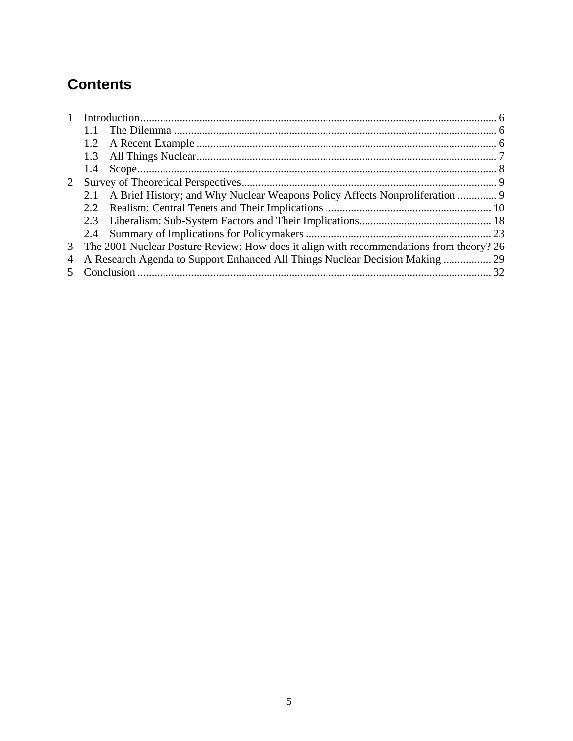## **Contents**

| $\mathbf{1}$ |     |                                                                                         |  |  |
|--------------|-----|-----------------------------------------------------------------------------------------|--|--|
|              |     |                                                                                         |  |  |
|              | 1.2 |                                                                                         |  |  |
|              | 1.3 |                                                                                         |  |  |
|              | 1.4 |                                                                                         |  |  |
| 2            |     |                                                                                         |  |  |
|              |     | 2.1 A Brief History; and Why Nuclear Weapons Policy Affects Nonproliferation  9         |  |  |
|              |     |                                                                                         |  |  |
|              |     |                                                                                         |  |  |
|              |     |                                                                                         |  |  |
| 3            |     | The 2001 Nuclear Posture Review: How does it align with recommendations from theory? 26 |  |  |
|              |     |                                                                                         |  |  |
|              |     |                                                                                         |  |  |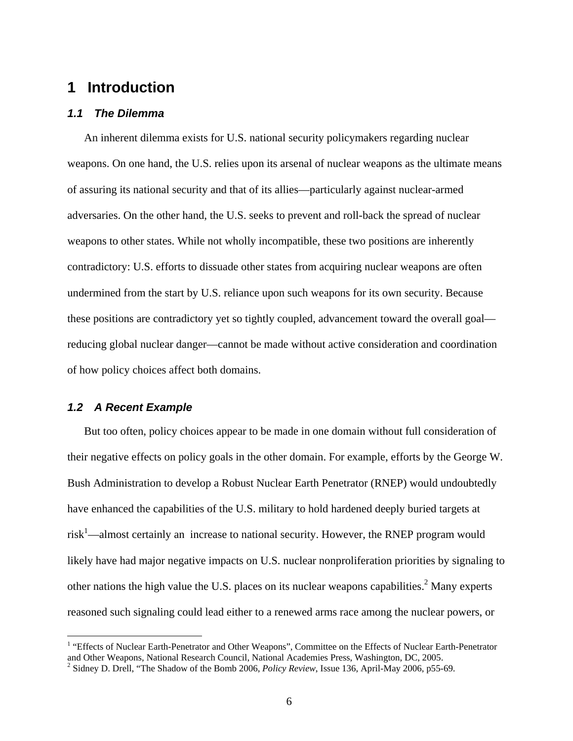## **1 Introduction**

#### *1.1 The Dilemma*

An inherent dilemma exists for U.S. national security policymakers regarding nuclear weapons. On one hand, the U.S. relies upon its arsenal of nuclear weapons as the ultimate means of assuring its national security and that of its allies—particularly against nuclear-armed adversaries. On the other hand, the U.S. seeks to prevent and roll-back the spread of nuclear weapons to other states. While not wholly incompatible, these two positions are inherently contradictory: U.S. efforts to dissuade other states from acquiring nuclear weapons are often undermined from the start by U.S. reliance upon such weapons for its own security. Because these positions are contradictory yet so tightly coupled, advancement toward the overall goal reducing global nuclear danger—cannot be made without active consideration and coordination of how policy choices affect both domains.

### *1.2 A Recent Example*

 $\overline{a}$ 

But too often, policy choices appear to be made in one domain without full consideration of their negative effects on policy goals in the other domain. For example, efforts by the George W. Bush Administration to develop a Robust Nuclear Earth Penetrator (RNEP) would undoubtedly have enhanced the capabilities of the U.S. military to hold hardened deeply buried targets at  $risk<sup>1</sup>$ —almost certainly an increase to national security. However, the RNEP program would likely have had major negative impacts on U.S. nuclear nonproliferation priorities by signaling to other nations the high value the U.S. places on its nuclear weapons capabilities.<sup>2</sup> Many experts reasoned such signaling could lead either to a renewed arms race among the nuclear powers, or

<sup>&</sup>lt;sup>1</sup> "Effects of Nuclear Earth-Penetrator and Other Weapons", Committee on the Effects of Nuclear Earth-Penetrator and Other Weapons, National Research Council, National Academies Press, Washington, DC, 2005.

<sup>&</sup>lt;sup>2</sup> Sidney D. Drell, "The Shadow of the Bomb 2006, *Policy Review*, Issue 136, April-May 2006, p55-69.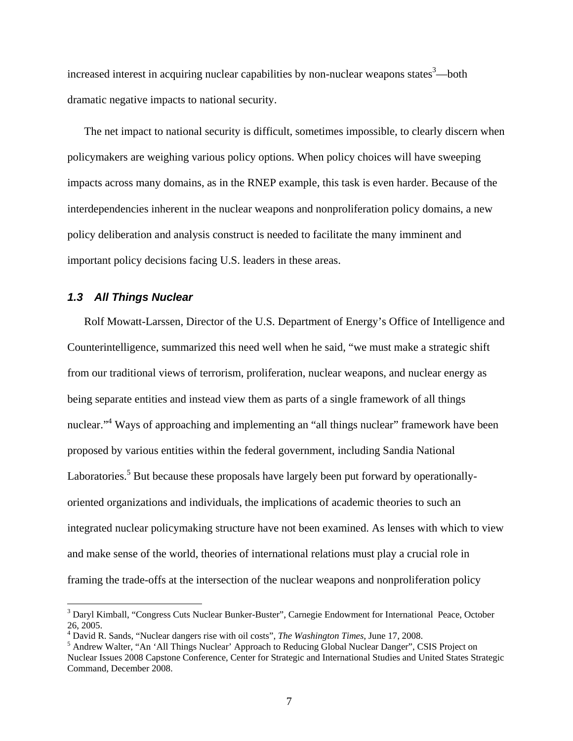increased interest in acquiring nuclear capabilities by non-nuclear weapons states<sup>3</sup>—both dramatic negative impacts to national security.

The net impact to national security is difficult, sometimes impossible, to clearly discern when policymakers are weighing various policy options. When policy choices will have sweeping impacts across many domains, as in the RNEP example, this task is even harder. Because of the interdependencies inherent in the nuclear weapons and nonproliferation policy domains, a new policy deliberation and analysis construct is needed to facilitate the many imminent and important policy decisions facing U.S. leaders in these areas.

### *1.3 All Things Nuclear*

 $\overline{a}$ 

Rolf Mowatt-Larssen, Director of the U.S. Department of Energy's Office of Intelligence and Counterintelligence, summarized this need well when he said, "we must make a strategic shift from our traditional views of terrorism, proliferation, nuclear weapons, and nuclear energy as being separate entities and instead view them as parts of a single framework of all things nuclear."<sup>4</sup> Ways of approaching and implementing an "all things nuclear" framework have been proposed by various entities within the federal government, including Sandia National Laboratories.<sup>5</sup> But because these proposals have largely been put forward by operationallyoriented organizations and individuals, the implications of academic theories to such an integrated nuclear policymaking structure have not been examined. As lenses with which to view and make sense of the world, theories of international relations must play a crucial role in framing the trade-offs at the intersection of the nuclear weapons and nonproliferation policy

<sup>&</sup>lt;sup>3</sup> Daryl Kimball, "Congress Cuts Nuclear Bunker-Buster", Carnegie Endowment for International Peace, October 26, 2005.

<sup>&</sup>lt;sup>4</sup> David R. Sands, "Nuclear dangers rise with oil costs", *The Washington Times*, June 17, 2008.

<sup>&</sup>lt;sup>5</sup> Andrew Walter, "An 'All Things Nuclear' Approach to Reducing Global Nuclear Danger", CSIS Project on Nuclear Issues 2008 Capstone Conference, Center for Strategic and International Studies and United States Strategic Command, December 2008.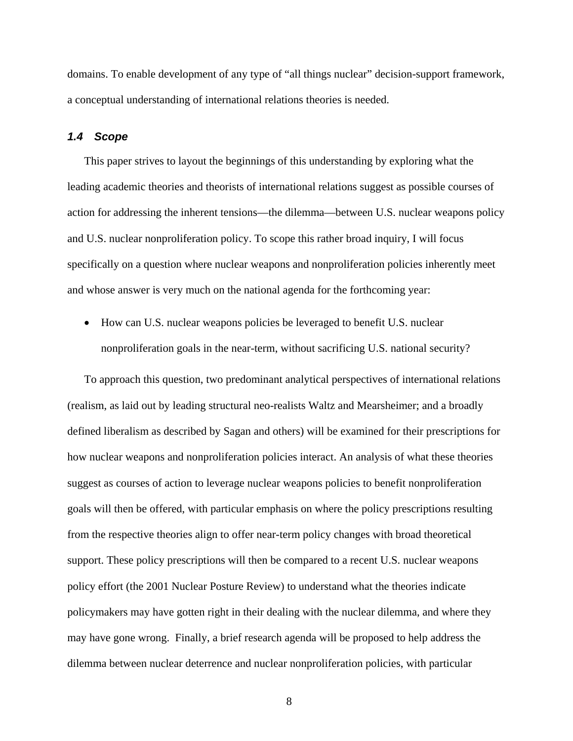domains. To enable development of any type of "all things nuclear" decision-support framework, a conceptual understanding of international relations theories is needed.

#### *1.4 Scope*

This paper strives to layout the beginnings of this understanding by exploring what the leading academic theories and theorists of international relations suggest as possible courses of action for addressing the inherent tensions—the dilemma—between U.S. nuclear weapons policy and U.S. nuclear nonproliferation policy. To scope this rather broad inquiry, I will focus specifically on a question where nuclear weapons and nonproliferation policies inherently meet and whose answer is very much on the national agenda for the forthcoming year:

 How can U.S. nuclear weapons policies be leveraged to benefit U.S. nuclear nonproliferation goals in the near-term, without sacrificing U.S. national security?

To approach this question, two predominant analytical perspectives of international relations (realism, as laid out by leading structural neo-realists Waltz and Mearsheimer; and a broadly defined liberalism as described by Sagan and others) will be examined for their prescriptions for how nuclear weapons and nonproliferation policies interact. An analysis of what these theories suggest as courses of action to leverage nuclear weapons policies to benefit nonproliferation goals will then be offered, with particular emphasis on where the policy prescriptions resulting from the respective theories align to offer near-term policy changes with broad theoretical support. These policy prescriptions will then be compared to a recent U.S. nuclear weapons policy effort (the 2001 Nuclear Posture Review) to understand what the theories indicate policymakers may have gotten right in their dealing with the nuclear dilemma, and where they may have gone wrong. Finally, a brief research agenda will be proposed to help address the dilemma between nuclear deterrence and nuclear nonproliferation policies, with particular

8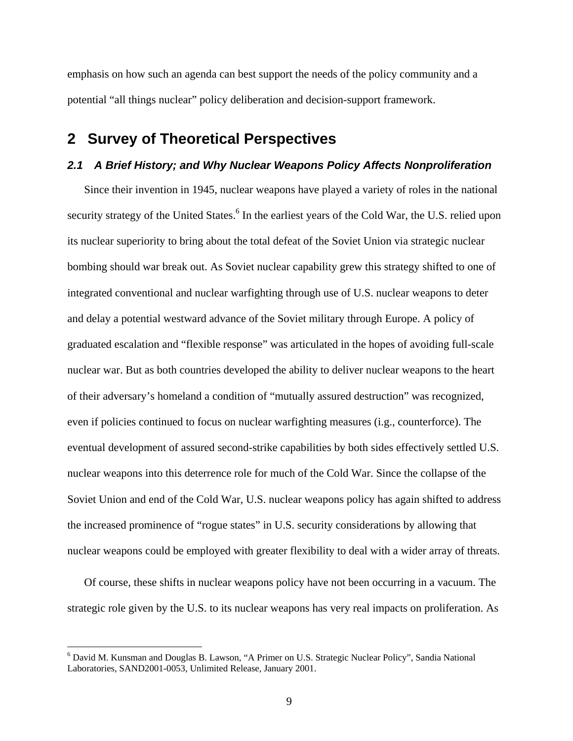emphasis on how such an agenda can best support the needs of the policy community and a potential "all things nuclear" policy deliberation and decision-support framework.

## **2 Survey of Theoretical Perspectives**

### *2.1 A Brief History; and Why Nuclear Weapons Policy Affects Nonproliferation*

Since their invention in 1945, nuclear weapons have played a variety of roles in the national security strategy of the United States.<sup>6</sup> In the earliest years of the Cold War, the U.S. relied upon its nuclear superiority to bring about the total defeat of the Soviet Union via strategic nuclear bombing should war break out. As Soviet nuclear capability grew this strategy shifted to one of integrated conventional and nuclear warfighting through use of U.S. nuclear weapons to deter and delay a potential westward advance of the Soviet military through Europe. A policy of graduated escalation and "flexible response" was articulated in the hopes of avoiding full-scale nuclear war. But as both countries developed the ability to deliver nuclear weapons to the heart of their adversary's homeland a condition of "mutually assured destruction" was recognized, even if policies continued to focus on nuclear warfighting measures (i.g., counterforce). The eventual development of assured second-strike capabilities by both sides effectively settled U.S. nuclear weapons into this deterrence role for much of the Cold War. Since the collapse of the Soviet Union and end of the Cold War, U.S. nuclear weapons policy has again shifted to address the increased prominence of "rogue states" in U.S. security considerations by allowing that nuclear weapons could be employed with greater flexibility to deal with a wider array of threats.

Of course, these shifts in nuclear weapons policy have not been occurring in a vacuum. The strategic role given by the U.S. to its nuclear weapons has very real impacts on proliferation. As

<sup>&</sup>lt;sup>6</sup> David M. Kunsman and Douglas B. Lawson, "A Primer on U.S. Strategic Nuclear Policy", Sandia National Laboratories, SAND2001-0053, Unlimited Release, January 2001.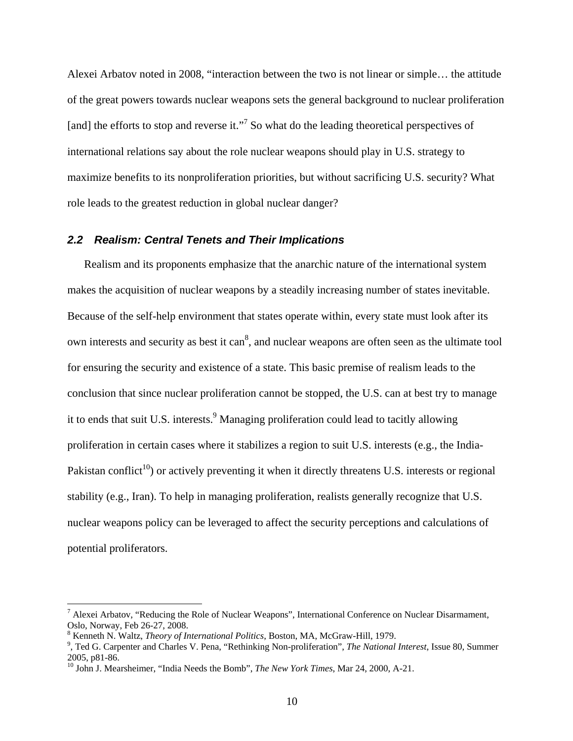Alexei Arbatov noted in 2008, "interaction between the two is not linear or simple… the attitude of the great powers towards nuclear weapons sets the general background to nuclear proliferation [and] the efforts to stop and reverse it."<sup>7</sup> So what do the leading theoretical perspectives of international relations say about the role nuclear weapons should play in U.S. strategy to maximize benefits to its nonproliferation priorities, but without sacrificing U.S. security? What role leads to the greatest reduction in global nuclear danger?

#### *2.2 Realism: Central Tenets and Their Implications*

Realism and its proponents emphasize that the anarchic nature of the international system makes the acquisition of nuclear weapons by a steadily increasing number of states inevitable. Because of the self-help environment that states operate within, every state must look after its own interests and security as best it can<sup>8</sup>, and nuclear weapons are often seen as the ultimate tool for ensuring the security and existence of a state. This basic premise of realism leads to the conclusion that since nuclear proliferation cannot be stopped, the U.S. can at best try to manage it to ends that suit U.S. interests.<sup>9</sup> Managing proliferation could lead to tacitly allowing proliferation in certain cases where it stabilizes a region to suit U.S. interests (e.g., the India-Pakistan conflict<sup>10</sup>) or actively preventing it when it directly threatens U.S. interests or regional stability (e.g., Iran). To help in managing proliferation, realists generally recognize that U.S. nuclear weapons policy can be leveraged to affect the security perceptions and calculations of potential proliferators.

<sup>&</sup>lt;sup>7</sup> Alexei Arbatov, "Reducing the Role of Nuclear Weapons", International Conference on Nuclear Disarmament, Oslo, Norway, Feb 26-27, 2008.

<sup>&</sup>lt;sup>8</sup> Kenneth N. Waltz, *Theory of International Politics*, Boston, MA, McGraw-Hill, 1979.

<sup>&</sup>lt;sup>8</sup> Kenneth N. Waltz, *Theory of International Politics*, Boston, MA, McGraw-Hill, 1979.<br><sup>9</sup>, Ted G. Carpenter and Charles V. Pena, "Rethinking Non-proliferation", *The National Interest*, Issue 80, Summer 2005, p81-86.

<sup>10</sup> John J. Mearsheimer, "India Needs the Bomb", *The New York Times*, Mar 24, 2000, A-21.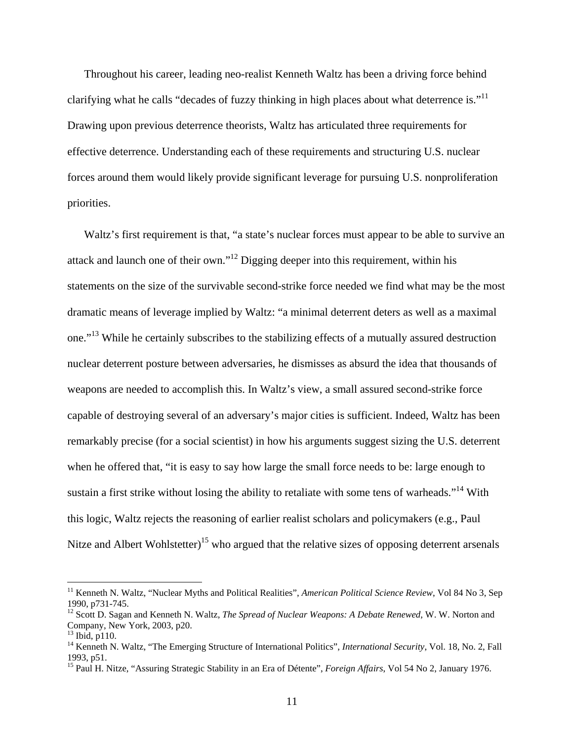Throughout his career, leading neo-realist Kenneth Waltz has been a driving force behind clarifying what he calls "decades of fuzzy thinking in high places about what deterrence is." $11$ Drawing upon previous deterrence theorists, Waltz has articulated three requirements for effective deterrence. Understanding each of these requirements and structuring U.S. nuclear forces around them would likely provide significant leverage for pursuing U.S. nonproliferation priorities.

Waltz's first requirement is that, "a state's nuclear forces must appear to be able to survive an attack and launch one of their own."<sup>12</sup> Digging deeper into this requirement, within his statements on the size of the survivable second-strike force needed we find what may be the most dramatic means of leverage implied by Waltz: "a minimal deterrent deters as well as a maximal one."13 While he certainly subscribes to the stabilizing effects of a mutually assured destruction nuclear deterrent posture between adversaries, he dismisses as absurd the idea that thousands of weapons are needed to accomplish this. In Waltz's view, a small assured second-strike force capable of destroying several of an adversary's major cities is sufficient. Indeed, Waltz has been remarkably precise (for a social scientist) in how his arguments suggest sizing the U.S. deterrent when he offered that, "it is easy to say how large the small force needs to be: large enough to sustain a first strike without losing the ability to retaliate with some tens of warheads."<sup>14</sup> With this logic, Waltz rejects the reasoning of earlier realist scholars and policymakers (e.g., Paul Nitze and Albert Wohlstetter)<sup>15</sup> who argued that the relative sizes of opposing deterrent arsenals

<sup>&</sup>lt;sup>11</sup> Kenneth N. Waltz, "Nuclear Myths and Political Realities", *American Political Science Review*, Vol 84 No 3, Sep 1990, p731-745.

<sup>12</sup> Scott D. Sagan and Kenneth N. Waltz, *The Spread of Nuclear Weapons: A Debate Renewed*, W. W. Norton and Company, New York, 2003, p20.

 $13$  Ibid, p110.

<sup>&</sup>lt;sup>14</sup> Kenneth N. Waltz, "The Emerging Structure of International Politics", *International Security*, Vol. 18, No. 2, Fall 1993, p51.

<sup>&</sup>lt;sup>15</sup> Paul H. Nitze, "Assuring Strategic Stability in an Era of Détente", *Foreign Affairs*, Vol 54 No 2, January 1976.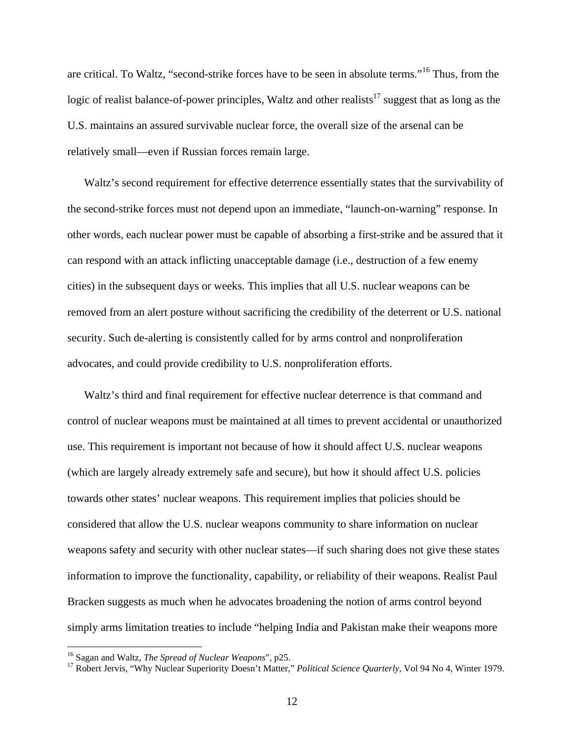are critical. To Waltz, "second-strike forces have to be seen in absolute terms."16 Thus, from the logic of realist balance-of-power principles, Waltz and other realists $17$  suggest that as long as the U.S. maintains an assured survivable nuclear force, the overall size of the arsenal can be relatively small—even if Russian forces remain large.

Waltz's second requirement for effective deterrence essentially states that the survivability of the second-strike forces must not depend upon an immediate, "launch-on-warning" response. In other words, each nuclear power must be capable of absorbing a first-strike and be assured that it can respond with an attack inflicting unacceptable damage (i.e., destruction of a few enemy cities) in the subsequent days or weeks. This implies that all U.S. nuclear weapons can be removed from an alert posture without sacrificing the credibility of the deterrent or U.S. national security. Such de-alerting is consistently called for by arms control and nonproliferation advocates, and could provide credibility to U.S. nonproliferation efforts.

Waltz's third and final requirement for effective nuclear deterrence is that command and control of nuclear weapons must be maintained at all times to prevent accidental or unauthorized use. This requirement is important not because of how it should affect U.S. nuclear weapons (which are largely already extremely safe and secure), but how it should affect U.S. policies towards other states' nuclear weapons. This requirement implies that policies should be considered that allow the U.S. nuclear weapons community to share information on nuclear weapons safety and security with other nuclear states—if such sharing does not give these states information to improve the functionality, capability, or reliability of their weapons. Realist Paul Bracken suggests as much when he advocates broadening the notion of arms control beyond simply arms limitation treaties to include "helping India and Pakistan make their weapons more

<sup>&</sup>lt;sup>16</sup> Sagan and Waltz, The Spread of Nuclear Weapons", p25.

<sup>&</sup>lt;sup>17</sup> Robert Jervis, "Why Nuclear Superiority Doesn't Matter," *Political Science Quarterly*, Vol 94 No 4, Winter 1979.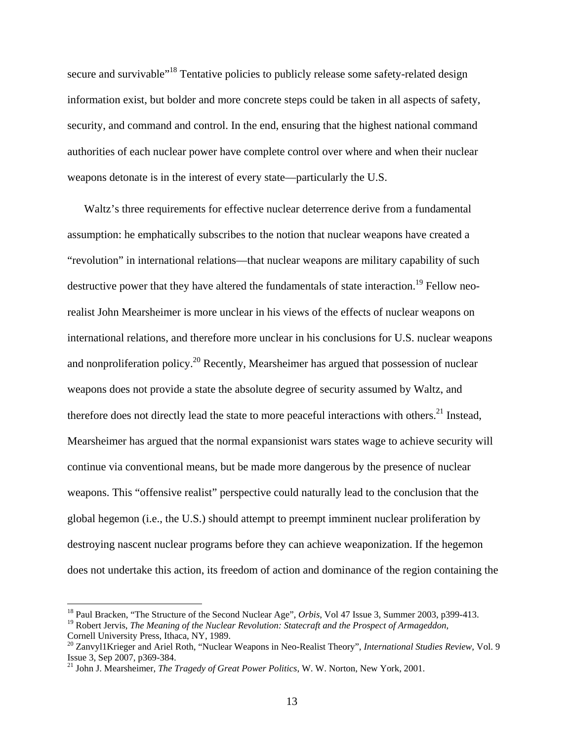secure and survivable<sup>"18</sup> Tentative policies to publicly release some safety-related design information exist, but bolder and more concrete steps could be taken in all aspects of safety, security, and command and control. In the end, ensuring that the highest national command authorities of each nuclear power have complete control over where and when their nuclear weapons detonate is in the interest of every state—particularly the U.S.

Waltz's three requirements for effective nuclear deterrence derive from a fundamental assumption: he emphatically subscribes to the notion that nuclear weapons have created a "revolution" in international relations—that nuclear weapons are military capability of such destructive power that they have altered the fundamentals of state interaction.<sup>19</sup> Fellow neorealist John Mearsheimer is more unclear in his views of the effects of nuclear weapons on international relations, and therefore more unclear in his conclusions for U.S. nuclear weapons and nonproliferation policy.<sup>20</sup> Recently, Mearsheimer has argued that possession of nuclear weapons does not provide a state the absolute degree of security assumed by Waltz, and therefore does not directly lead the state to more peaceful interactions with others.<sup>21</sup> Instead, Mearsheimer has argued that the normal expansionist wars states wage to achieve security will continue via conventional means, but be made more dangerous by the presence of nuclear weapons. This "offensive realist" perspective could naturally lead to the conclusion that the global hegemon (i.e., the U.S.) should attempt to preempt imminent nuclear proliferation by destroying nascent nuclear programs before they can achieve weaponization. If the hegemon does not undertake this action, its freedom of action and dominance of the region containing the

<sup>18</sup> Paul Bracken, "The Structure of the Second Nuclear Age", *Orbis*, Vol 47 Issue 3, Summer 2003, p399-413. 19 Robert Jervis, *The Meaning of the Nuclear Revolution: Statecraft and the Prospect of Armageddon*, Cornell University Press, Ithaca, NY, 1989.

<sup>20</sup> Zanvyl1Krieger and Ariel Roth, "Nuclear Weapons in Neo-Realist Theory", *International Studies Review*, Vol. 9 Issue 3, Sep 2007, p369-384.

<sup>21</sup> John J. Mearsheimer, *The Tragedy of Great Power Politics*, W. W. Norton, New York, 2001.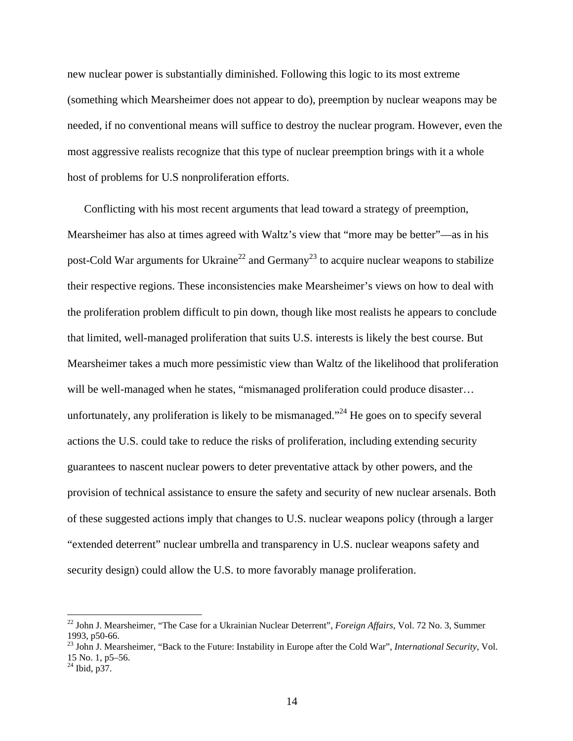new nuclear power is substantially diminished. Following this logic to its most extreme (something which Mearsheimer does not appear to do), preemption by nuclear weapons may be needed, if no conventional means will suffice to destroy the nuclear program. However, even the most aggressive realists recognize that this type of nuclear preemption brings with it a whole host of problems for U.S nonproliferation efforts.

Conflicting with his most recent arguments that lead toward a strategy of preemption, Mearsheimer has also at times agreed with Waltz's view that "more may be better"—as in his post-Cold War arguments for Ukraine<sup>22</sup> and Germany<sup>23</sup> to acquire nuclear weapons to stabilize their respective regions. These inconsistencies make Mearsheimer's views on how to deal with the proliferation problem difficult to pin down, though like most realists he appears to conclude that limited, well-managed proliferation that suits U.S. interests is likely the best course. But Mearsheimer takes a much more pessimistic view than Waltz of the likelihood that proliferation will be well-managed when he states, "mismanaged proliferation could produce disaster... unfortunately, any proliferation is likely to be mismanaged."<sup>24</sup> He goes on to specify several actions the U.S. could take to reduce the risks of proliferation, including extending security guarantees to nascent nuclear powers to deter preventative attack by other powers, and the provision of technical assistance to ensure the safety and security of new nuclear arsenals. Both of these suggested actions imply that changes to U.S. nuclear weapons policy (through a larger "extended deterrent" nuclear umbrella and transparency in U.S. nuclear weapons safety and security design) could allow the U.S. to more favorably manage proliferation.

<sup>22</sup> John J. Mearsheimer, "The Case for a Ukrainian Nuclear Deterrent", *Foreign Affairs*, Vol. 72 No. 3, Summer 1993, p50-66.

<sup>23</sup> John J. Mearsheimer, "Back to the Future: Instability in Europe after the Cold War", *International Security*, Vol. 15 No. 1, p5–56.

 $^{24}$  Ibid, p $\overline{37}$ .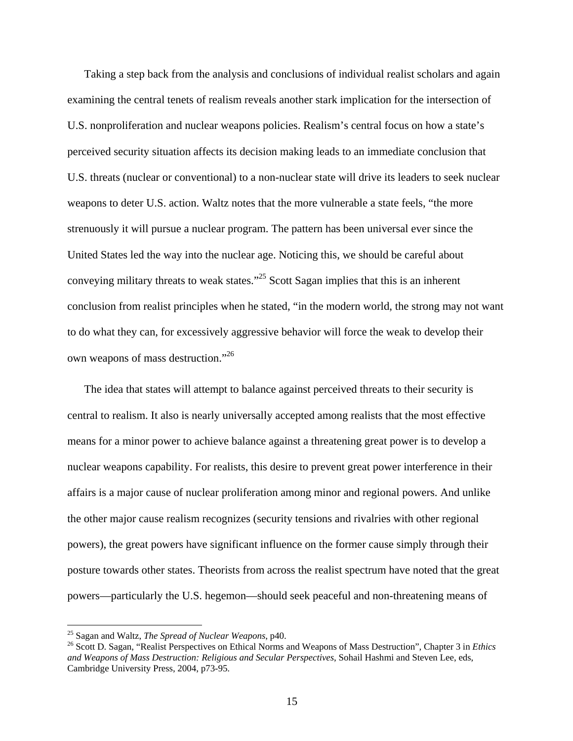Taking a step back from the analysis and conclusions of individual realist scholars and again examining the central tenets of realism reveals another stark implication for the intersection of U.S. nonproliferation and nuclear weapons policies. Realism's central focus on how a state's perceived security situation affects its decision making leads to an immediate conclusion that U.S. threats (nuclear or conventional) to a non-nuclear state will drive its leaders to seek nuclear weapons to deter U.S. action. Waltz notes that the more vulnerable a state feels, "the more strenuously it will pursue a nuclear program. The pattern has been universal ever since the United States led the way into the nuclear age. Noticing this, we should be careful about conveying military threats to weak states."25 Scott Sagan implies that this is an inherent conclusion from realist principles when he stated, "in the modern world, the strong may not want to do what they can, for excessively aggressive behavior will force the weak to develop their own weapons of mass destruction."<sup>26</sup>

The idea that states will attempt to balance against perceived threats to their security is central to realism. It also is nearly universally accepted among realists that the most effective means for a minor power to achieve balance against a threatening great power is to develop a nuclear weapons capability. For realists, this desire to prevent great power interference in their affairs is a major cause of nuclear proliferation among minor and regional powers. And unlike the other major cause realism recognizes (security tensions and rivalries with other regional powers), the great powers have significant influence on the former cause simply through their posture towards other states. Theorists from across the realist spectrum have noted that the great powers—particularly the U.S. hegemon—should seek peaceful and non-threatening means of

<sup>&</sup>lt;sup>25</sup> Sagan and Waltz, *The Spread of Nuclear Weapons*, p40.<br><sup>26</sup> Scott D. Sagan, "Realist Perspectives on Ethical Norms and Weapons of Mass Destruction", Chapter 3 in *Ethics and Weapons of Mass Destruction: Religious and Secular Perspectives*, Sohail Hashmi and Steven Lee, eds, Cambridge University Press, 2004, p73-95.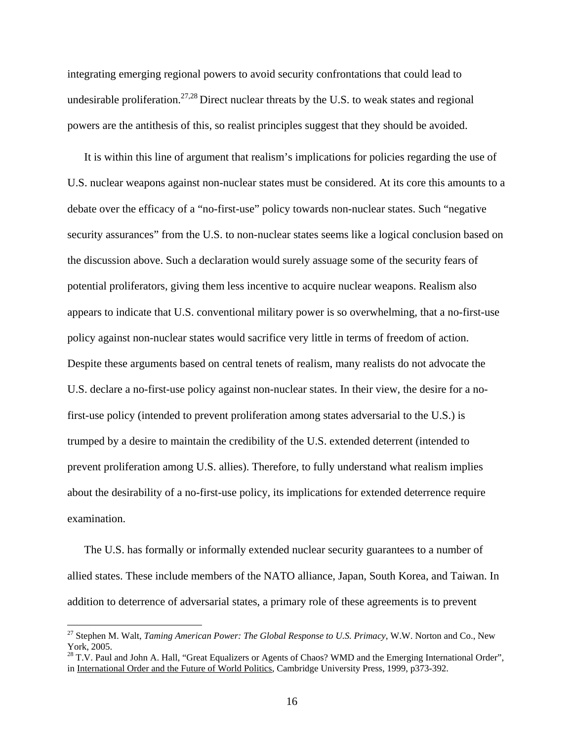integrating emerging regional powers to avoid security confrontations that could lead to undesirable proliferation.<sup>27,28</sup> Direct nuclear threats by the U.S. to weak states and regional powers are the antithesis of this, so realist principles suggest that they should be avoided.

It is within this line of argument that realism's implications for policies regarding the use of U.S. nuclear weapons against non-nuclear states must be considered. At its core this amounts to a debate over the efficacy of a "no-first-use" policy towards non-nuclear states. Such "negative security assurances" from the U.S. to non-nuclear states seems like a logical conclusion based on the discussion above. Such a declaration would surely assuage some of the security fears of potential proliferators, giving them less incentive to acquire nuclear weapons. Realism also appears to indicate that U.S. conventional military power is so overwhelming, that a no-first-use policy against non-nuclear states would sacrifice very little in terms of freedom of action. Despite these arguments based on central tenets of realism, many realists do not advocate the U.S. declare a no-first-use policy against non-nuclear states. In their view, the desire for a nofirst-use policy (intended to prevent proliferation among states adversarial to the U.S.) is trumped by a desire to maintain the credibility of the U.S. extended deterrent (intended to prevent proliferation among U.S. allies). Therefore, to fully understand what realism implies about the desirability of a no-first-use policy, its implications for extended deterrence require examination.

The U.S. has formally or informally extended nuclear security guarantees to a number of allied states. These include members of the NATO alliance, Japan, South Korea, and Taiwan. In addition to deterrence of adversarial states, a primary role of these agreements is to prevent

<sup>27</sup> Stephen M. Walt, *Taming American Power: The Global Response to U.S. Primacy*, W.W. Norton and Co., New York, 2005.

<sup>&</sup>lt;sup>28</sup> T.V. Paul and John A. Hall, "Great Equalizers or Agents of Chaos? WMD and the Emerging International Order", in International Order and the Future of World Politics, Cambridge University Press, 1999, p373-392.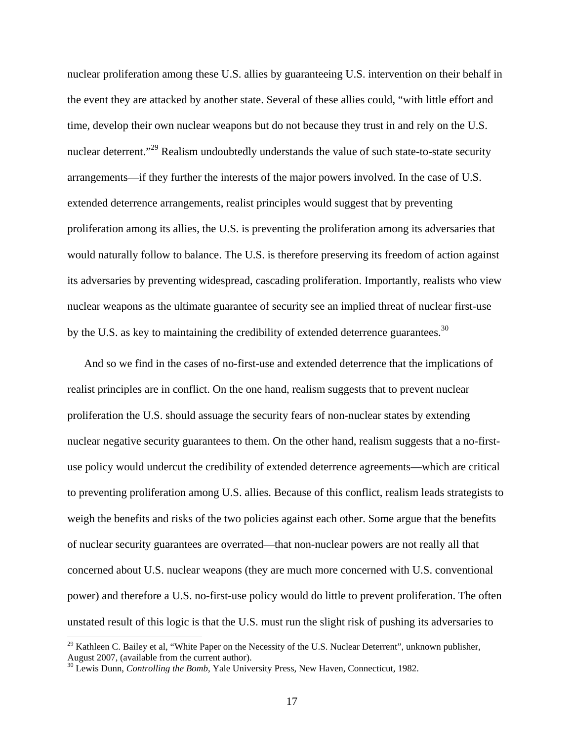nuclear proliferation among these U.S. allies by guaranteeing U.S. intervention on their behalf in the event they are attacked by another state. Several of these allies could, "with little effort and time, develop their own nuclear weapons but do not because they trust in and rely on the U.S. nuclear deterrent."<sup>29</sup> Realism undoubtedly understands the value of such state-to-state security arrangements—if they further the interests of the major powers involved. In the case of U.S. extended deterrence arrangements, realist principles would suggest that by preventing proliferation among its allies, the U.S. is preventing the proliferation among its adversaries that would naturally follow to balance. The U.S. is therefore preserving its freedom of action against its adversaries by preventing widespread, cascading proliferation. Importantly, realists who view nuclear weapons as the ultimate guarantee of security see an implied threat of nuclear first-use by the U.S. as key to maintaining the credibility of extended deterrence guarantees.<sup>30</sup>

And so we find in the cases of no-first-use and extended deterrence that the implications of realist principles are in conflict. On the one hand, realism suggests that to prevent nuclear proliferation the U.S. should assuage the security fears of non-nuclear states by extending nuclear negative security guarantees to them. On the other hand, realism suggests that a no-firstuse policy would undercut the credibility of extended deterrence agreements—which are critical to preventing proliferation among U.S. allies. Because of this conflict, realism leads strategists to weigh the benefits and risks of the two policies against each other. Some argue that the benefits of nuclear security guarantees are overrated—that non-nuclear powers are not really all that concerned about U.S. nuclear weapons (they are much more concerned with U.S. conventional power) and therefore a U.S. no-first-use policy would do little to prevent proliferation. The often unstated result of this logic is that the U.S. must run the slight risk of pushing its adversaries to

<sup>&</sup>lt;sup>29</sup> Kathleen C. Bailey et al, "White Paper on the Necessity of the U.S. Nuclear Deterrent", unknown publisher, August 2007, (available from the current author).

<sup>&</sup>lt;sup>30</sup> Lewis Dunn, *Controlling the Bomb*, Yale University Press, New Haven, Connecticut, 1982.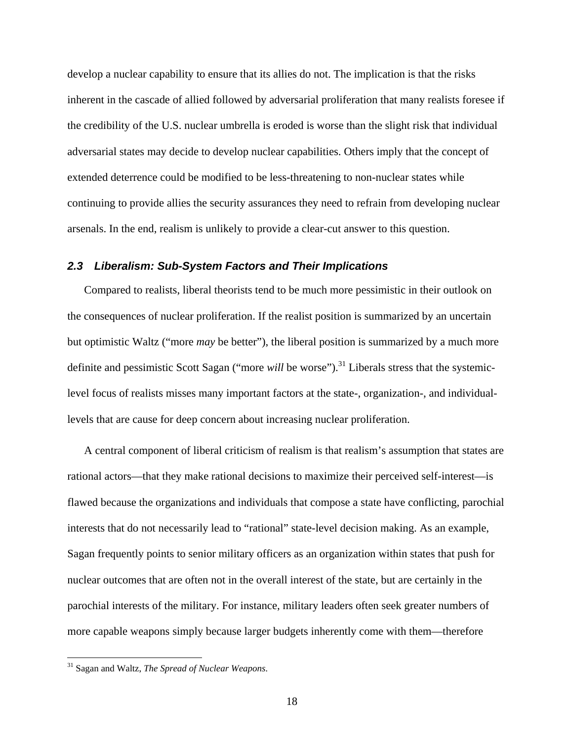develop a nuclear capability to ensure that its allies do not. The implication is that the risks inherent in the cascade of allied followed by adversarial proliferation that many realists foresee if the credibility of the U.S. nuclear umbrella is eroded is worse than the slight risk that individual adversarial states may decide to develop nuclear capabilities. Others imply that the concept of extended deterrence could be modified to be less-threatening to non-nuclear states while continuing to provide allies the security assurances they need to refrain from developing nuclear arsenals. In the end, realism is unlikely to provide a clear-cut answer to this question.

### *2.3 Liberalism: Sub-System Factors and Their Implications*

Compared to realists, liberal theorists tend to be much more pessimistic in their outlook on the consequences of nuclear proliferation. If the realist position is summarized by an uncertain but optimistic Waltz ("more *may* be better"), the liberal position is summarized by a much more definite and pessimistic Scott Sagan ("more *will* be worse").<sup>31</sup> Liberals stress that the systemiclevel focus of realists misses many important factors at the state-, organization-, and individuallevels that are cause for deep concern about increasing nuclear proliferation.

A central component of liberal criticism of realism is that realism's assumption that states are rational actors—that they make rational decisions to maximize their perceived self-interest—is flawed because the organizations and individuals that compose a state have conflicting, parochial interests that do not necessarily lead to "rational" state-level decision making. As an example, Sagan frequently points to senior military officers as an organization within states that push for nuclear outcomes that are often not in the overall interest of the state, but are certainly in the parochial interests of the military. For instance, military leaders often seek greater numbers of more capable weapons simply because larger budgets inherently come with them—therefore

<sup>31</sup> Sagan and Waltz, *The Spread of Nuclear Weapons*.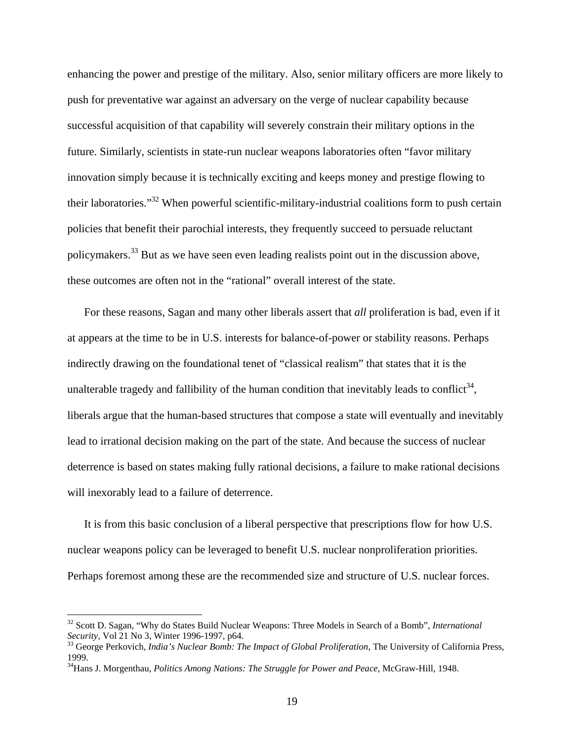enhancing the power and prestige of the military. Also, senior military officers are more likely to push for preventative war against an adversary on the verge of nuclear capability because successful acquisition of that capability will severely constrain their military options in the future. Similarly, scientists in state-run nuclear weapons laboratories often "favor military innovation simply because it is technically exciting and keeps money and prestige flowing to their laboratories."32 When powerful scientific-military-industrial coalitions form to push certain policies that benefit their parochial interests, they frequently succeed to persuade reluctant policymakers.33 But as we have seen even leading realists point out in the discussion above, these outcomes are often not in the "rational" overall interest of the state.

For these reasons, Sagan and many other liberals assert that *all* proliferation is bad, even if it at appears at the time to be in U.S. interests for balance-of-power or stability reasons. Perhaps indirectly drawing on the foundational tenet of "classical realism" that states that it is the unalterable tragedy and fallibility of the human condition that inevitably leads to conflict<sup>34</sup>, liberals argue that the human-based structures that compose a state will eventually and inevitably lead to irrational decision making on the part of the state. And because the success of nuclear deterrence is based on states making fully rational decisions, a failure to make rational decisions will inexorably lead to a failure of deterrence.

It is from this basic conclusion of a liberal perspective that prescriptions flow for how U.S. nuclear weapons policy can be leveraged to benefit U.S. nuclear nonproliferation priorities. Perhaps foremost among these are the recommended size and structure of U.S. nuclear forces.

1

<sup>32</sup> Scott D. Sagan, "Why do States Build Nuclear Weapons: Three Models in Search of a Bomb", *International Security*, Vol 21 No 3, Winter 1996-1997, p64.<br><sup>33</sup> George Perkovich, *India's Nuclear Bomb: The Impact of Global Proliferation*, The University of California Press,

<sup>1999.</sup> 

<sup>34</sup>Hans J. Morgenthau, *Politics Among Nations: The Struggle for Power and Peace*, McGraw-Hill, 1948.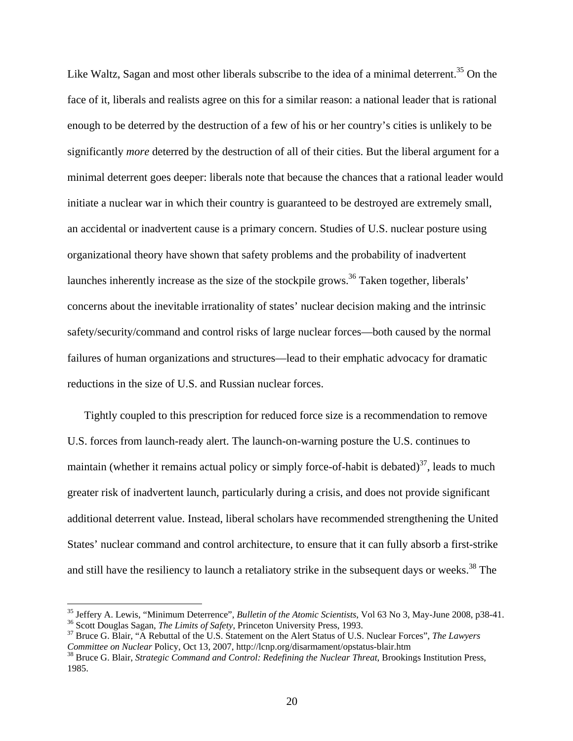Like Waltz, Sagan and most other liberals subscribe to the idea of a minimal deterrent.<sup>35</sup> On the face of it, liberals and realists agree on this for a similar reason: a national leader that is rational enough to be deterred by the destruction of a few of his or her country's cities is unlikely to be significantly *more* deterred by the destruction of all of their cities. But the liberal argument for a minimal deterrent goes deeper: liberals note that because the chances that a rational leader would initiate a nuclear war in which their country is guaranteed to be destroyed are extremely small, an accidental or inadvertent cause is a primary concern. Studies of U.S. nuclear posture using organizational theory have shown that safety problems and the probability of inadvertent launches inherently increase as the size of the stockpile grows.<sup>36</sup> Taken together, liberals' concerns about the inevitable irrationality of states' nuclear decision making and the intrinsic safety/security/command and control risks of large nuclear forces—both caused by the normal failures of human organizations and structures—lead to their emphatic advocacy for dramatic reductions in the size of U.S. and Russian nuclear forces.

Tightly coupled to this prescription for reduced force size is a recommendation to remove U.S. forces from launch-ready alert. The launch-on-warning posture the U.S. continues to maintain (whether it remains actual policy or simply force-of-habit is debated)<sup>37</sup>, leads to much greater risk of inadvertent launch, particularly during a crisis, and does not provide significant additional deterrent value. Instead, liberal scholars have recommended strengthening the United States' nuclear command and control architecture, to ensure that it can fully absorb a first-strike and still have the resiliency to launch a retaliatory strike in the subsequent days or weeks.<sup>38</sup> The

1

<sup>&</sup>lt;sup>35</sup> Jeffery A. Lewis, "Minimum Deterrence", *Bulletin of the Atomic Scientists*, Vol 63 No 3, May-June 2008, p38-41.<br><sup>36</sup> Scott Douglas Sagan, *The Limits of Safety*, Princeton University Press, 1993.<br><sup>37</sup> Bruce G. Blair,

*Committee on Nuclear Policy, Oct 13, 2007, http://lcnp.org/disarmament/opstatus-blair.htm*<br><sup>38</sup> Bruce G. Blair, *Strategic Command and Control: Redefining the Nuclear Threat, Brookings Institution Press,* 

<sup>1985.</sup>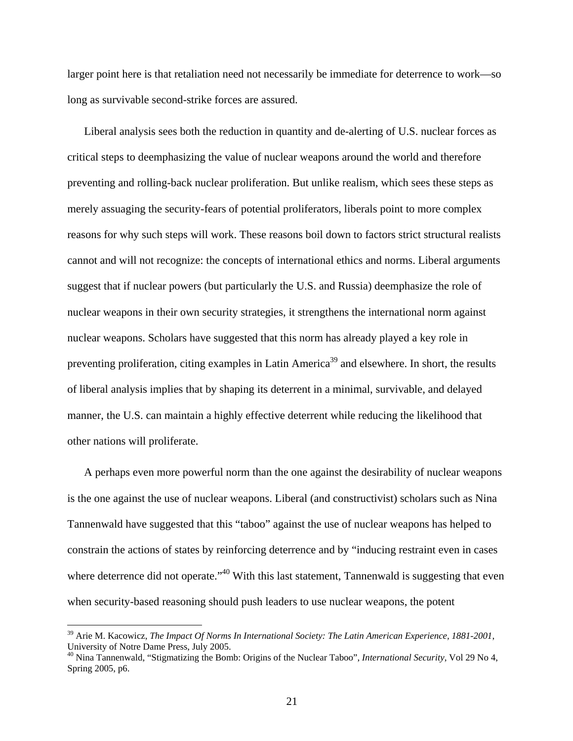larger point here is that retaliation need not necessarily be immediate for deterrence to work—so long as survivable second-strike forces are assured.

Liberal analysis sees both the reduction in quantity and de-alerting of U.S. nuclear forces as critical steps to deemphasizing the value of nuclear weapons around the world and therefore preventing and rolling-back nuclear proliferation. But unlike realism, which sees these steps as merely assuaging the security-fears of potential proliferators, liberals point to more complex reasons for why such steps will work. These reasons boil down to factors strict structural realists cannot and will not recognize: the concepts of international ethics and norms. Liberal arguments suggest that if nuclear powers (but particularly the U.S. and Russia) deemphasize the role of nuclear weapons in their own security strategies, it strengthens the international norm against nuclear weapons. Scholars have suggested that this norm has already played a key role in preventing proliferation, citing examples in Latin America<sup>39</sup> and elsewhere. In short, the results of liberal analysis implies that by shaping its deterrent in a minimal, survivable, and delayed manner, the U.S. can maintain a highly effective deterrent while reducing the likelihood that other nations will proliferate.

A perhaps even more powerful norm than the one against the desirability of nuclear weapons is the one against the use of nuclear weapons. Liberal (and constructivist) scholars such as Nina Tannenwald have suggested that this "taboo" against the use of nuclear weapons has helped to constrain the actions of states by reinforcing deterrence and by "inducing restraint even in cases where deterrence did not operate."<sup>40</sup> With this last statement, Tannenwald is suggesting that even when security-based reasoning should push leaders to use nuclear weapons, the potent

<sup>39</sup> Arie M. Kacowicz, *The Impact Of Norms In International Society: The Latin American Experience, 1881-2001*, University of Notre Dame Press, July 2005.

<sup>40</sup> Nina Tannenwald, "Stigmatizing the Bomb: Origins of the Nuclear Taboo", *International Security*, Vol 29 No 4, Spring 2005, p6.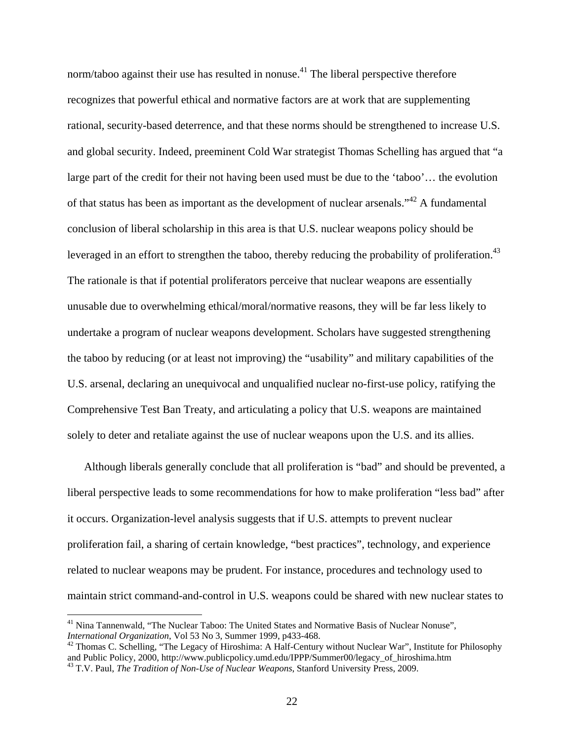norm/taboo against their use has resulted in nonuse.<sup>41</sup> The liberal perspective therefore recognizes that powerful ethical and normative factors are at work that are supplementing rational, security-based deterrence, and that these norms should be strengthened to increase U.S. and global security. Indeed, preeminent Cold War strategist Thomas Schelling has argued that "a large part of the credit for their not having been used must be due to the 'taboo'… the evolution of that status has been as important as the development of nuclear arsenals."42 A fundamental conclusion of liberal scholarship in this area is that U.S. nuclear weapons policy should be leveraged in an effort to strengthen the taboo, thereby reducing the probability of proliferation.<sup>43</sup> The rationale is that if potential proliferators perceive that nuclear weapons are essentially unusable due to overwhelming ethical/moral/normative reasons, they will be far less likely to undertake a program of nuclear weapons development. Scholars have suggested strengthening the taboo by reducing (or at least not improving) the "usability" and military capabilities of the U.S. arsenal, declaring an unequivocal and unqualified nuclear no-first-use policy, ratifying the Comprehensive Test Ban Treaty, and articulating a policy that U.S. weapons are maintained solely to deter and retaliate against the use of nuclear weapons upon the U.S. and its allies.

Although liberals generally conclude that all proliferation is "bad" and should be prevented, a liberal perspective leads to some recommendations for how to make proliferation "less bad" after it occurs. Organization-level analysis suggests that if U.S. attempts to prevent nuclear proliferation fail, a sharing of certain knowledge, "best practices", technology, and experience related to nuclear weapons may be prudent. For instance, procedures and technology used to maintain strict command-and-control in U.S. weapons could be shared with new nuclear states to

<sup>&</sup>lt;sup>41</sup> Nina Tannenwald, "The Nuclear Taboo: The United States and Normative Basis of Nuclear Nonuse", *International Organization*, Vol 53 No 3, Summer 1999,  $p433-468$ .

<sup>&</sup>lt;sup>42</sup> Thomas C. Schelling, "The Legacy of Hiroshima: A Half-Century without Nuclear War", Institute for Philosophy and Public Policy, 2000, http://www.publicpolicy.umd.edu/IPPP/Summer00/legacy\_of\_hiroshima.htm 43 T.V. Paul, *The Tradition of Non-Use of Nuclear Weapons*, Stanford University Press, 2009.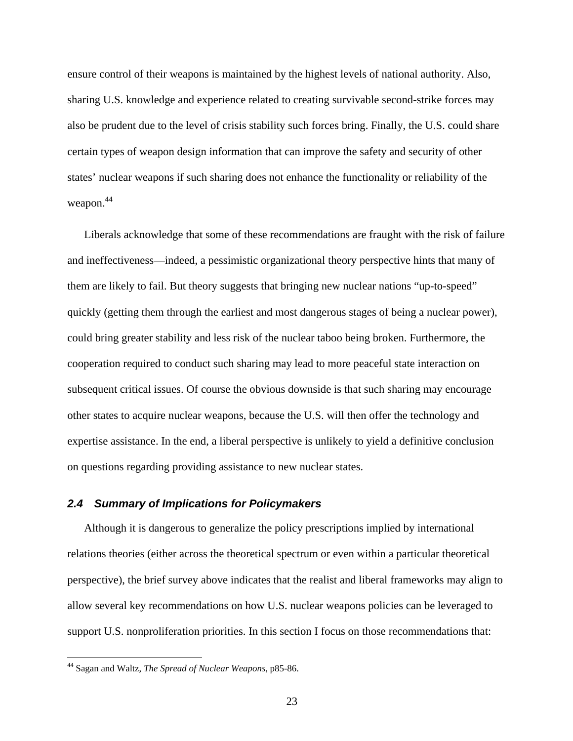ensure control of their weapons is maintained by the highest levels of national authority. Also, sharing U.S. knowledge and experience related to creating survivable second-strike forces may also be prudent due to the level of crisis stability such forces bring. Finally, the U.S. could share certain types of weapon design information that can improve the safety and security of other states' nuclear weapons if such sharing does not enhance the functionality or reliability of the weapon. 44

Liberals acknowledge that some of these recommendations are fraught with the risk of failure and ineffectiveness—indeed, a pessimistic organizational theory perspective hints that many of them are likely to fail. But theory suggests that bringing new nuclear nations "up-to-speed" quickly (getting them through the earliest and most dangerous stages of being a nuclear power), could bring greater stability and less risk of the nuclear taboo being broken. Furthermore, the cooperation required to conduct such sharing may lead to more peaceful state interaction on subsequent critical issues. Of course the obvious downside is that such sharing may encourage other states to acquire nuclear weapons, because the U.S. will then offer the technology and expertise assistance. In the end, a liberal perspective is unlikely to yield a definitive conclusion on questions regarding providing assistance to new nuclear states.

### *2.4 Summary of Implications for Policymakers*

Although it is dangerous to generalize the policy prescriptions implied by international relations theories (either across the theoretical spectrum or even within a particular theoretical perspective), the brief survey above indicates that the realist and liberal frameworks may align to allow several key recommendations on how U.S. nuclear weapons policies can be leveraged to support U.S. nonproliferation priorities. In this section I focus on those recommendations that:

<sup>44</sup> Sagan and Waltz, *The Spread of Nuclear Weapons*, p85-86.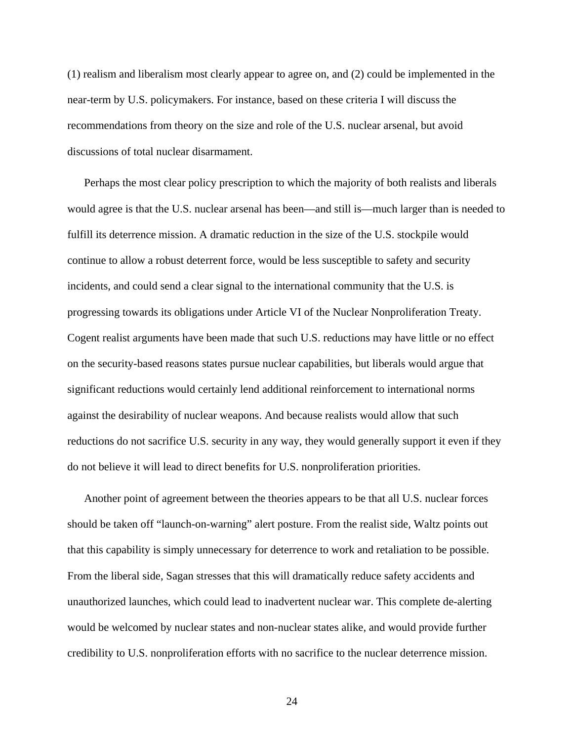(1) realism and liberalism most clearly appear to agree on, and (2) could be implemented in the near-term by U.S. policymakers. For instance, based on these criteria I will discuss the recommendations from theory on the size and role of the U.S. nuclear arsenal, but avoid discussions of total nuclear disarmament.

Perhaps the most clear policy prescription to which the majority of both realists and liberals would agree is that the U.S. nuclear arsenal has been—and still is—much larger than is needed to fulfill its deterrence mission. A dramatic reduction in the size of the U.S. stockpile would continue to allow a robust deterrent force, would be less susceptible to safety and security incidents, and could send a clear signal to the international community that the U.S. is progressing towards its obligations under Article VI of the Nuclear Nonproliferation Treaty. Cogent realist arguments have been made that such U.S. reductions may have little or no effect on the security-based reasons states pursue nuclear capabilities, but liberals would argue that significant reductions would certainly lend additional reinforcement to international norms against the desirability of nuclear weapons. And because realists would allow that such reductions do not sacrifice U.S. security in any way, they would generally support it even if they do not believe it will lead to direct benefits for U.S. nonproliferation priorities.

Another point of agreement between the theories appears to be that all U.S. nuclear forces should be taken off "launch-on-warning" alert posture. From the realist side, Waltz points out that this capability is simply unnecessary for deterrence to work and retaliation to be possible. From the liberal side, Sagan stresses that this will dramatically reduce safety accidents and unauthorized launches, which could lead to inadvertent nuclear war. This complete de-alerting would be welcomed by nuclear states and non-nuclear states alike, and would provide further credibility to U.S. nonproliferation efforts with no sacrifice to the nuclear deterrence mission.

24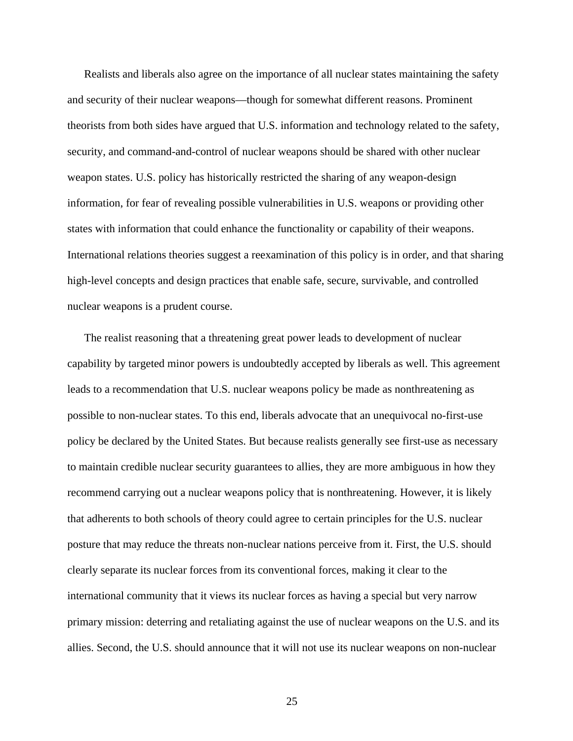Realists and liberals also agree on the importance of all nuclear states maintaining the safety and security of their nuclear weapons—though for somewhat different reasons. Prominent theorists from both sides have argued that U.S. information and technology related to the safety, security, and command-and-control of nuclear weapons should be shared with other nuclear weapon states. U.S. policy has historically restricted the sharing of any weapon-design information, for fear of revealing possible vulnerabilities in U.S. weapons or providing other states with information that could enhance the functionality or capability of their weapons. International relations theories suggest a reexamination of this policy is in order, and that sharing high-level concepts and design practices that enable safe, secure, survivable, and controlled nuclear weapons is a prudent course.

The realist reasoning that a threatening great power leads to development of nuclear capability by targeted minor powers is undoubtedly accepted by liberals as well. This agreement leads to a recommendation that U.S. nuclear weapons policy be made as nonthreatening as possible to non-nuclear states. To this end, liberals advocate that an unequivocal no-first-use policy be declared by the United States. But because realists generally see first-use as necessary to maintain credible nuclear security guarantees to allies, they are more ambiguous in how they recommend carrying out a nuclear weapons policy that is nonthreatening. However, it is likely that adherents to both schools of theory could agree to certain principles for the U.S. nuclear posture that may reduce the threats non-nuclear nations perceive from it. First, the U.S. should clearly separate its nuclear forces from its conventional forces, making it clear to the international community that it views its nuclear forces as having a special but very narrow primary mission: deterring and retaliating against the use of nuclear weapons on the U.S. and its allies. Second, the U.S. should announce that it will not use its nuclear weapons on non-nuclear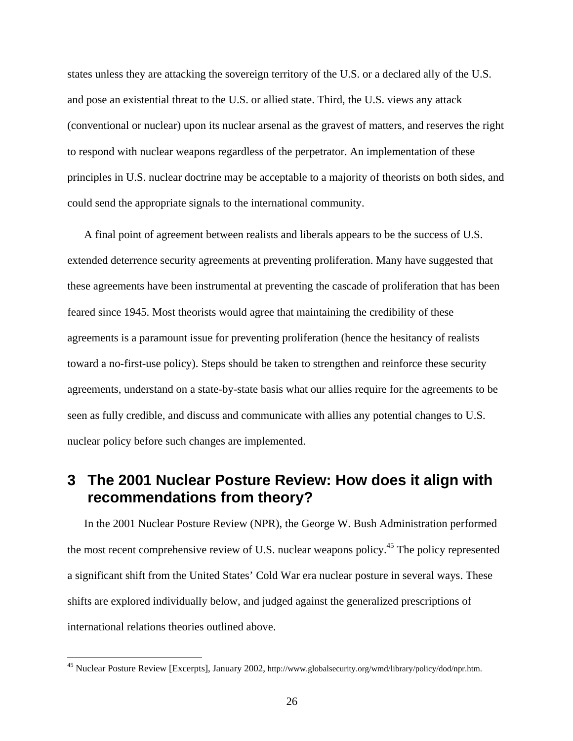states unless they are attacking the sovereign territory of the U.S. or a declared ally of the U.S. and pose an existential threat to the U.S. or allied state. Third, the U.S. views any attack (conventional or nuclear) upon its nuclear arsenal as the gravest of matters, and reserves the right to respond with nuclear weapons regardless of the perpetrator. An implementation of these principles in U.S. nuclear doctrine may be acceptable to a majority of theorists on both sides, and could send the appropriate signals to the international community.

A final point of agreement between realists and liberals appears to be the success of U.S. extended deterrence security agreements at preventing proliferation. Many have suggested that these agreements have been instrumental at preventing the cascade of proliferation that has been feared since 1945. Most theorists would agree that maintaining the credibility of these agreements is a paramount issue for preventing proliferation (hence the hesitancy of realists toward a no-first-use policy). Steps should be taken to strengthen and reinforce these security agreements, understand on a state-by-state basis what our allies require for the agreements to be seen as fully credible, and discuss and communicate with allies any potential changes to U.S. nuclear policy before such changes are implemented.

## **3 The 2001 Nuclear Posture Review: How does it align with recommendations from theory?**

In the 2001 Nuclear Posture Review (NPR), the George W. Bush Administration performed the most recent comprehensive review of U.S. nuclear weapons policy.<sup>45</sup> The policy represented a significant shift from the United States' Cold War era nuclear posture in several ways. These shifts are explored individually below, and judged against the generalized prescriptions of international relations theories outlined above.

<sup>&</sup>lt;sup>45</sup> Nuclear Posture Review [Excerpts], January 2002, http://www.globalsecurity.org/wmd/library/policy/dod/npr.htm.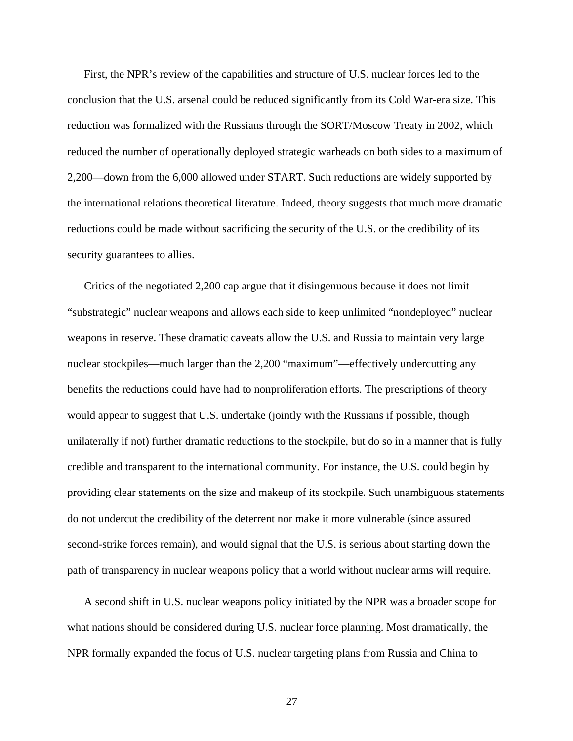First, the NPR's review of the capabilities and structure of U.S. nuclear forces led to the conclusion that the U.S. arsenal could be reduced significantly from its Cold War-era size. This reduction was formalized with the Russians through the SORT/Moscow Treaty in 2002, which reduced the number of operationally deployed strategic warheads on both sides to a maximum of 2,200—down from the 6,000 allowed under START. Such reductions are widely supported by the international relations theoretical literature. Indeed, theory suggests that much more dramatic reductions could be made without sacrificing the security of the U.S. or the credibility of its security guarantees to allies.

Critics of the negotiated 2,200 cap argue that it disingenuous because it does not limit "substrategic" nuclear weapons and allows each side to keep unlimited "nondeployed" nuclear weapons in reserve. These dramatic caveats allow the U.S. and Russia to maintain very large nuclear stockpiles—much larger than the 2,200 "maximum"—effectively undercutting any benefits the reductions could have had to nonproliferation efforts. The prescriptions of theory would appear to suggest that U.S. undertake (jointly with the Russians if possible, though unilaterally if not) further dramatic reductions to the stockpile, but do so in a manner that is fully credible and transparent to the international community. For instance, the U.S. could begin by providing clear statements on the size and makeup of its stockpile. Such unambiguous statements do not undercut the credibility of the deterrent nor make it more vulnerable (since assured second-strike forces remain), and would signal that the U.S. is serious about starting down the path of transparency in nuclear weapons policy that a world without nuclear arms will require.

A second shift in U.S. nuclear weapons policy initiated by the NPR was a broader scope for what nations should be considered during U.S. nuclear force planning. Most dramatically, the NPR formally expanded the focus of U.S. nuclear targeting plans from Russia and China to

27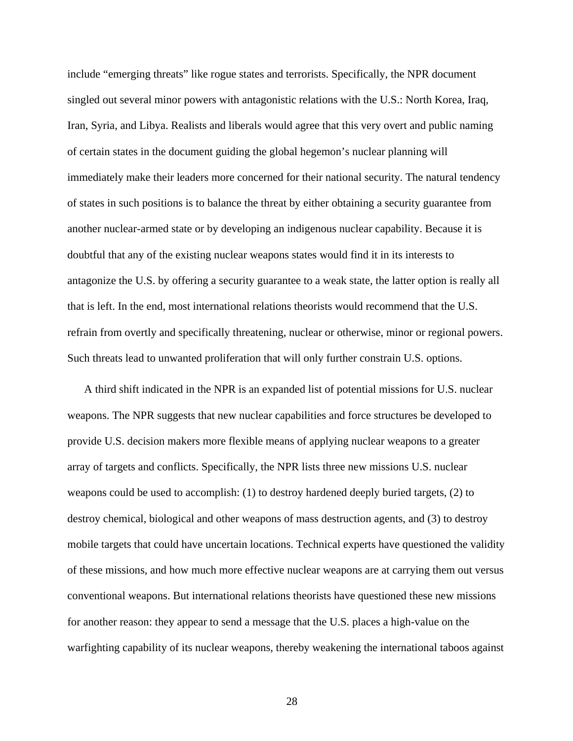include "emerging threats" like rogue states and terrorists. Specifically, the NPR document singled out several minor powers with antagonistic relations with the U.S.: North Korea, Iraq, Iran, Syria, and Libya. Realists and liberals would agree that this very overt and public naming of certain states in the document guiding the global hegemon's nuclear planning will immediately make their leaders more concerned for their national security. The natural tendency of states in such positions is to balance the threat by either obtaining a security guarantee from another nuclear-armed state or by developing an indigenous nuclear capability. Because it is doubtful that any of the existing nuclear weapons states would find it in its interests to antagonize the U.S. by offering a security guarantee to a weak state, the latter option is really all that is left. In the end, most international relations theorists would recommend that the U.S. refrain from overtly and specifically threatening, nuclear or otherwise, minor or regional powers. Such threats lead to unwanted proliferation that will only further constrain U.S. options.

A third shift indicated in the NPR is an expanded list of potential missions for U.S. nuclear weapons. The NPR suggests that new nuclear capabilities and force structures be developed to provide U.S. decision makers more flexible means of applying nuclear weapons to a greater array of targets and conflicts. Specifically, the NPR lists three new missions U.S. nuclear weapons could be used to accomplish: (1) to destroy hardened deeply buried targets, (2) to destroy chemical, biological and other weapons of mass destruction agents, and (3) to destroy mobile targets that could have uncertain locations. Technical experts have questioned the validity of these missions, and how much more effective nuclear weapons are at carrying them out versus conventional weapons. But international relations theorists have questioned these new missions for another reason: they appear to send a message that the U.S. places a high-value on the warfighting capability of its nuclear weapons, thereby weakening the international taboos against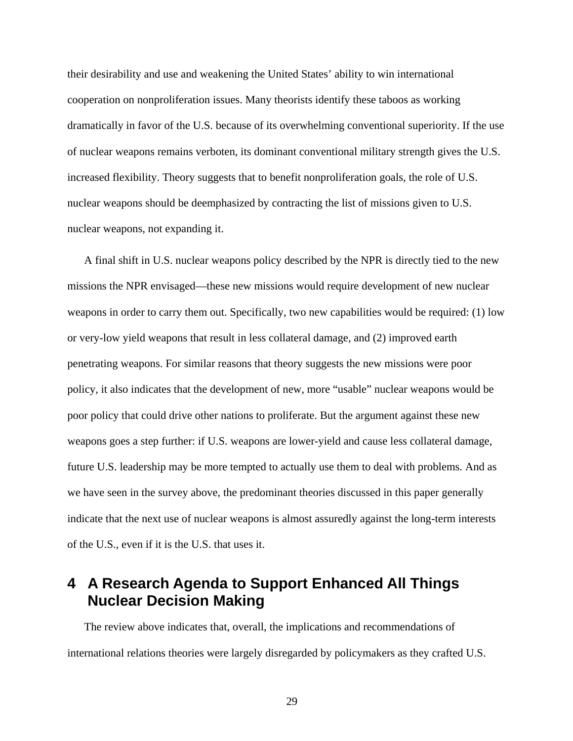their desirability and use and weakening the United States' ability to win international cooperation on nonproliferation issues. Many theorists identify these taboos as working dramatically in favor of the U.S. because of its overwhelming conventional superiority. If the use of nuclear weapons remains verboten, its dominant conventional military strength gives the U.S. increased flexibility. Theory suggests that to benefit nonproliferation goals, the role of U.S. nuclear weapons should be deemphasized by contracting the list of missions given to U.S. nuclear weapons, not expanding it.

A final shift in U.S. nuclear weapons policy described by the NPR is directly tied to the new missions the NPR envisaged—these new missions would require development of new nuclear weapons in order to carry them out. Specifically, two new capabilities would be required: (1) low or very-low yield weapons that result in less collateral damage, and (2) improved earth penetrating weapons. For similar reasons that theory suggests the new missions were poor policy, it also indicates that the development of new, more "usable" nuclear weapons would be poor policy that could drive other nations to proliferate. But the argument against these new weapons goes a step further: if U.S. weapons are lower-yield and cause less collateral damage, future U.S. leadership may be more tempted to actually use them to deal with problems. And as we have seen in the survey above, the predominant theories discussed in this paper generally indicate that the next use of nuclear weapons is almost assuredly against the long-term interests of the U.S., even if it is the U.S. that uses it.

## **4 A Research Agenda to Support Enhanced All Things Nuclear Decision Making**

The review above indicates that, overall, the implications and recommendations of international relations theories were largely disregarded by policymakers as they crafted U.S.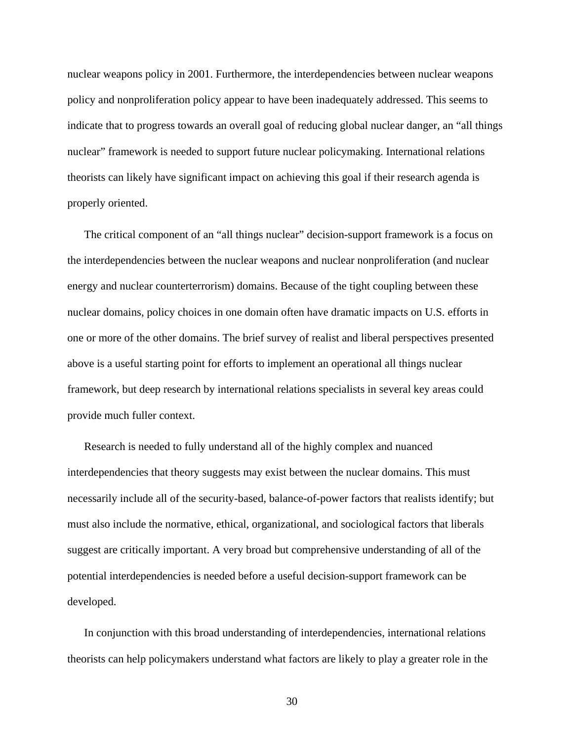nuclear weapons policy in 2001. Furthermore, the interdependencies between nuclear weapons policy and nonproliferation policy appear to have been inadequately addressed. This seems to indicate that to progress towards an overall goal of reducing global nuclear danger, an "all things nuclear" framework is needed to support future nuclear policymaking. International relations theorists can likely have significant impact on achieving this goal if their research agenda is properly oriented.

The critical component of an "all things nuclear" decision-support framework is a focus on the interdependencies between the nuclear weapons and nuclear nonproliferation (and nuclear energy and nuclear counterterrorism) domains. Because of the tight coupling between these nuclear domains, policy choices in one domain often have dramatic impacts on U.S. efforts in one or more of the other domains. The brief survey of realist and liberal perspectives presented above is a useful starting point for efforts to implement an operational all things nuclear framework, but deep research by international relations specialists in several key areas could provide much fuller context.

Research is needed to fully understand all of the highly complex and nuanced interdependencies that theory suggests may exist between the nuclear domains. This must necessarily include all of the security-based, balance-of-power factors that realists identify; but must also include the normative, ethical, organizational, and sociological factors that liberals suggest are critically important. A very broad but comprehensive understanding of all of the potential interdependencies is needed before a useful decision-support framework can be developed.

In conjunction with this broad understanding of interdependencies, international relations theorists can help policymakers understand what factors are likely to play a greater role in the

30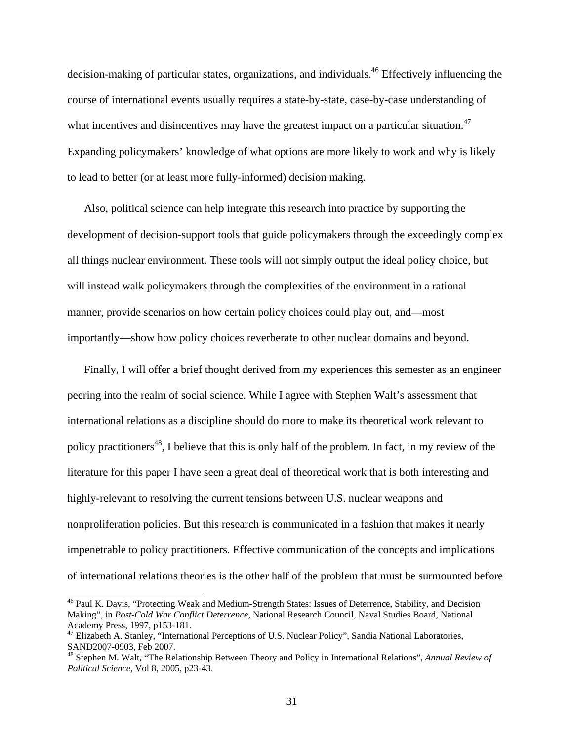decision-making of particular states, organizations, and individuals.<sup>46</sup> Effectively influencing the course of international events usually requires a state-by-state, case-by-case understanding of what incentives and disincentives may have the greatest impact on a particular situation.<sup>47</sup> Expanding policymakers' knowledge of what options are more likely to work and why is likely to lead to better (or at least more fully-informed) decision making.

Also, political science can help integrate this research into practice by supporting the development of decision-support tools that guide policymakers through the exceedingly complex all things nuclear environment. These tools will not simply output the ideal policy choice, but will instead walk policymakers through the complexities of the environment in a rational manner, provide scenarios on how certain policy choices could play out, and—most importantly—show how policy choices reverberate to other nuclear domains and beyond.

Finally, I will offer a brief thought derived from my experiences this semester as an engineer peering into the realm of social science. While I agree with Stephen Walt's assessment that international relations as a discipline should do more to make its theoretical work relevant to policy practitioners<sup>48</sup>, I believe that this is only half of the problem. In fact, in my review of the literature for this paper I have seen a great deal of theoretical work that is both interesting and highly-relevant to resolving the current tensions between U.S. nuclear weapons and nonproliferation policies. But this research is communicated in a fashion that makes it nearly impenetrable to policy practitioners. Effective communication of the concepts and implications of international relations theories is the other half of the problem that must be surmounted before

<u>.</u>

<sup>&</sup>lt;sup>46</sup> Paul K. Davis, "Protecting Weak and Medium-Strength States: Issues of Deterrence, Stability, and Decision Making", in *Post-Cold War Conflict Deterrence*, National Research Council, Naval Studies Board, National Academy Press, 1997, p153-181.

<sup>47</sup> Elizabeth A. Stanley, "International Perceptions of U.S. Nuclear Policy", Sandia National Laboratories, SAND2007-0903, Feb 2007.

<sup>48</sup> Stephen M. Walt, "The Relationship Between Theory and Policy in International Relations", *Annual Review of Political Science*, Vol 8, 2005, p23-43.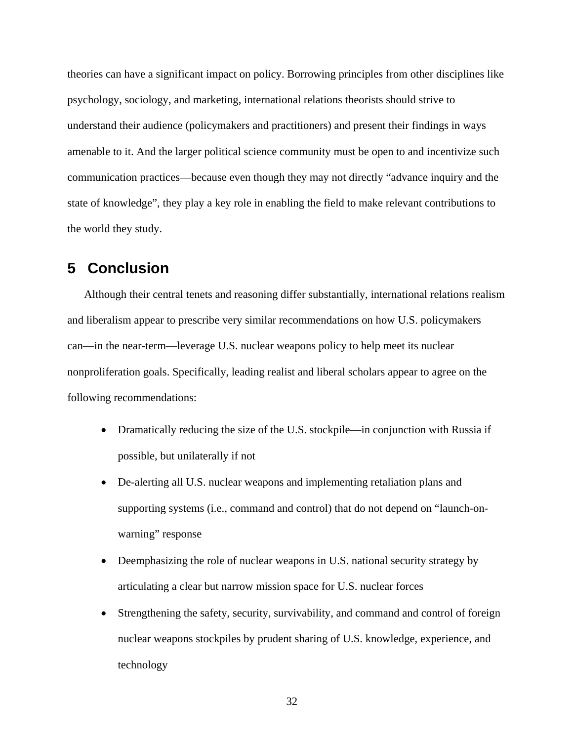theories can have a significant impact on policy. Borrowing principles from other disciplines like psychology, sociology, and marketing, international relations theorists should strive to understand their audience (policymakers and practitioners) and present their findings in ways amenable to it. And the larger political science community must be open to and incentivize such communication practices—because even though they may not directly "advance inquiry and the state of knowledge", they play a key role in enabling the field to make relevant contributions to the world they study.

## **5 Conclusion**

Although their central tenets and reasoning differ substantially, international relations realism and liberalism appear to prescribe very similar recommendations on how U.S. policymakers can—in the near-term—leverage U.S. nuclear weapons policy to help meet its nuclear nonproliferation goals. Specifically, leading realist and liberal scholars appear to agree on the following recommendations:

- Dramatically reducing the size of the U.S. stockpile—in conjunction with Russia if possible, but unilaterally if not
- De-alerting all U.S. nuclear weapons and implementing retaliation plans and supporting systems (i.e., command and control) that do not depend on "launch-onwarning" response
- Deemphasizing the role of nuclear weapons in U.S. national security strategy by articulating a clear but narrow mission space for U.S. nuclear forces
- Strengthening the safety, security, survivability, and command and control of foreign nuclear weapons stockpiles by prudent sharing of U.S. knowledge, experience, and technology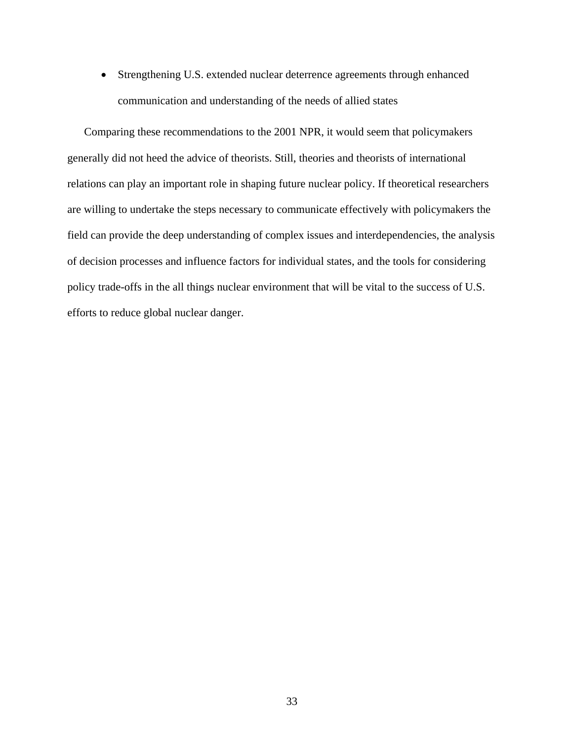Strengthening U.S. extended nuclear deterrence agreements through enhanced communication and understanding of the needs of allied states

Comparing these recommendations to the 2001 NPR, it would seem that policymakers generally did not heed the advice of theorists. Still, theories and theorists of international relations can play an important role in shaping future nuclear policy. If theoretical researchers are willing to undertake the steps necessary to communicate effectively with policymakers the field can provide the deep understanding of complex issues and interdependencies, the analysis of decision processes and influence factors for individual states, and the tools for considering policy trade-offs in the all things nuclear environment that will be vital to the success of U.S. efforts to reduce global nuclear danger.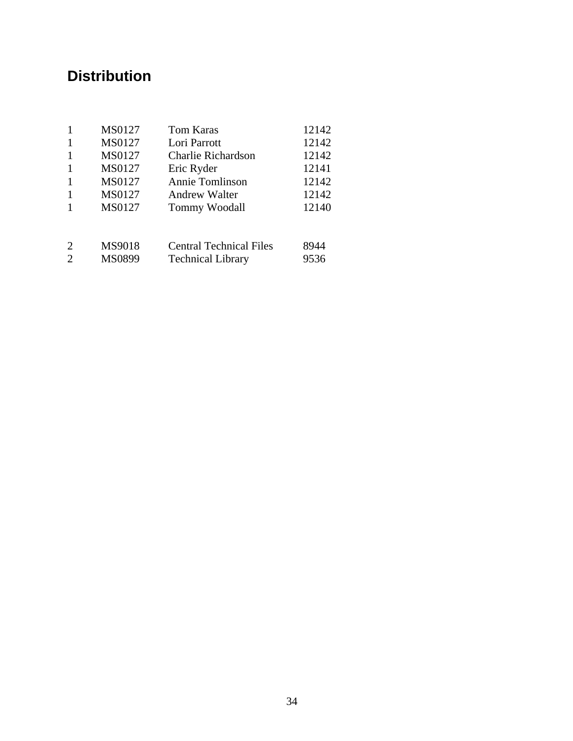## **Distribution**

|                             | MS0127        | Tom Karas                      | 12142 |
|-----------------------------|---------------|--------------------------------|-------|
|                             | <b>MS0127</b> | Lori Parrott                   | 12142 |
|                             | MS0127        | <b>Charlie Richardson</b>      | 12142 |
| -1                          | MS0127        | Eric Ryder                     | 12141 |
|                             | MS0127        | Annie Tomlinson                | 12142 |
|                             | MS0127        | <b>Andrew Walter</b>           | 12142 |
|                             | MS0127        | Tommy Woodall                  | 12140 |
|                             |               |                                |       |
| 2                           | MS9018        | <b>Central Technical Files</b> | 8944  |
| $\mathcal{D}_{\mathcal{L}}$ | MS0899        | <b>Technical Library</b>       | 9536  |